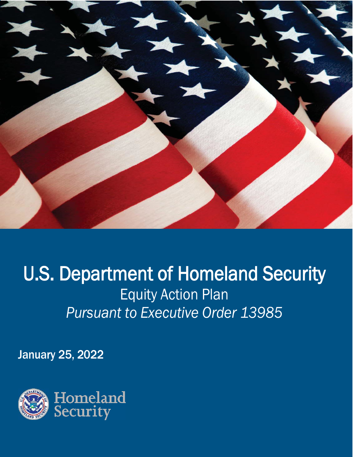

# U.S. Department of Homeland Security Equity Action Plan *Pursuant to Executive Order 13985*

January 25, 2022

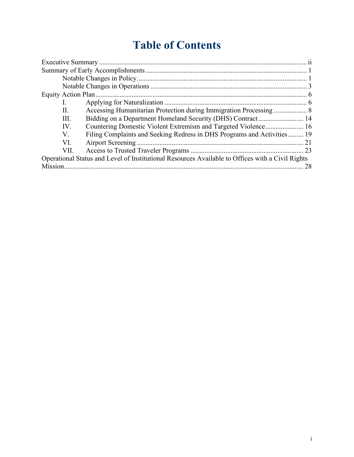## **Table of Contents**

| L.                                                                                               |  |
|--------------------------------------------------------------------------------------------------|--|
| Accessing Humanitarian Protection during Immigration Processing  8<br>II.                        |  |
| Ш.                                                                                               |  |
| Countering Domestic Violent Extremism and Targeted Violence 16<br>IV.                            |  |
| Filing Complaints and Seeking Redress in DHS Programs and Activities 19<br>V.                    |  |
| VI.                                                                                              |  |
| VII.                                                                                             |  |
| Operational Status and Level of Institutional Resources Available to Offices with a Civil Rights |  |
| Mission.<br>28                                                                                   |  |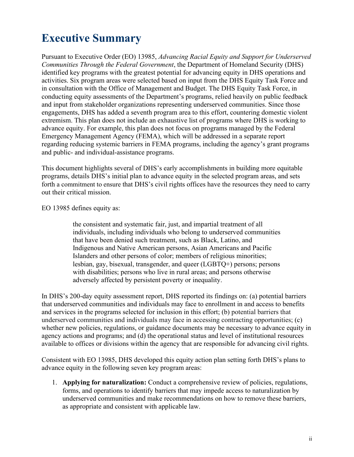## <span id="page-2-0"></span>**Executive Summary**

 identified key programs with the greatest potential for advancing equity in DHS operations and and public- and individual-assistance programs. Pursuant to Executive Order (EO) 13985, *Advancing Racial Equity and Support for Underserved Communities Through the Federal Government*, the Department of Homeland Security (DHS) activities. Six program areas were selected based on input from the DHS Equity Task Force and in consultation with the Office of Management and Budget. The DHS Equity Task Force, in conducting equity assessments of the Department's programs, relied heavily on public feedback and input from stakeholder organizations representing underserved communities. Since those engagements, DHS has added a seventh program area to this effort, countering domestic violent extremism. This plan does not include an exhaustive list of programs where DHS is working to advance equity. For example, this plan does not focus on programs managed by the Federal Emergency Management Agency (FEMA), which will be addressed in a separate report regarding reducing systemic barriers in FEMA programs, including the agency's grant programs

 This document highlights several of DHS's early accomplishments in building more equitable programs, details DHS's initial plan to advance equity in the selected program areas, and sets forth a commitment to ensure that DHS's civil rights offices have the resources they need to carry out their critical mission.

EO 13985 defines equity as:

 Indigenous and Native American persons, Asian Americans and Pacific the consistent and systematic fair, just, and impartial treatment of all individuals, including individuals who belong to underserved communities that have been denied such treatment, such as Black, Latino, and Islanders and other persons of color; members of religious minorities; lesbian, gay, bisexual, transgender, and queer (LGBTQ+) persons; persons with disabilities; persons who live in rural areas; and persons otherwise adversely affected by persistent poverty or inequality.

In DHS's 200-day equity assessment report, DHS reported its findings on: (a) potential barriers that underserved communities and individuals may face to enrollment in and access to benefits and services in the programs selected for inclusion in this effort; (b) potential barriers that underserved communities and individuals may face in accessing contracting opportunities; (c) whether new policies, regulations, or guidance documents may be necessary to advance equity in agency actions and programs; and (d) the operational status and level of institutional resources available to offices or divisions within the agency that are responsible for advancing civil rights.

Consistent with EO 13985, DHS developed this equity action plan setting forth DHS's plans to advance equity in the following seven key program areas:

1. **Applying for naturalization:** Conduct a comprehensive review of policies, regulations, forms, and operations to identify barriers that may impede access to naturalization by underserved communities and make recommendations on how to remove these barriers, as appropriate and consistent with applicable law.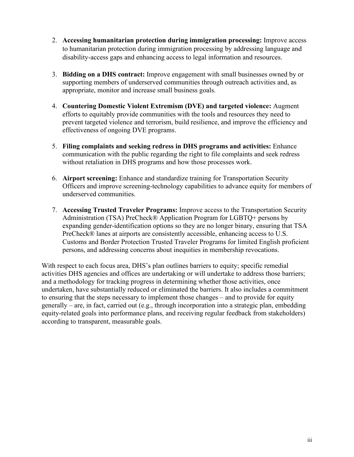- 2. **Accessing humanitarian protection during immigration processing:** Improve access to humanitarian protection during immigration processing by addressing language and disability-access gaps and enhancing access to legal information and resources.
- 3. **Bidding on a DHS contract:** Improve engagement with small businesses owned by or supporting members of underserved communities through outreach activities and, as appropriate, monitor and increase small business goals.
- 4. **Countering Domestic Violent Extremism (DVE) and targeted violence:** Augment efforts to equitably provide communities with the tools and resources they need to prevent targeted violence and terrorism, build resilience, and improve the efficiency and effectiveness of ongoing DVE programs.
- 5. **Filing complaints and seeking redress in DHS programs and activities:** Enhance communication with the public regarding the right to file complaints and seek redress without retaliation in DHS programs and how those processes work.
- 6. **Airport screening:** Enhance and standardize training for Transportation Security Officers and improve screening-technology capabilities to advance equity for members of underserved communities.
- 7. **Accessing Trusted Traveler Programs:** Improve access to the Transportation Security Administration (TSA) PreCheck® Application Program for LGBTQ+ persons by expanding gender-identification options so they are no longer binary, ensuring that TSA PreCheck® lanes at airports are consistently accessible, enhancing access to U.S. Customs and Border Protection Trusted Traveler Programs for limited English proficient persons, and addressing concerns about inequities in membership revocations.

 With respect to each focus area, DHS's plan outlines barriers to equity; specific remedial to ensuring that the steps necessary to implement those changes – and to provide for equity activities DHS agencies and offices are undertaking or will undertake to address those barriers; and a methodology for tracking progress in determining whether those activities, once undertaken, have substantially reduced or eliminated the barriers. It also includes a commitment generally – are, in fact, carried out (e.g., through incorporation into a strategic plan, embedding equity-related goals into performance plans, and receiving regular feedback from stakeholders) according to transparent, measurable goals.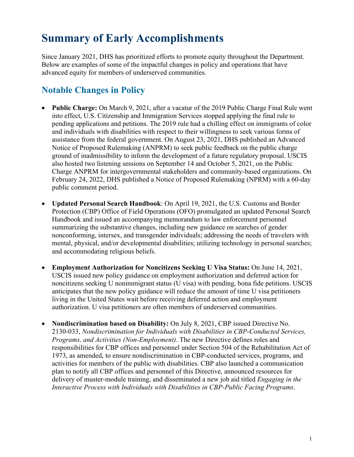## <span id="page-4-0"></span> **Summary of Early Accomplishments**

 advanced equity for members of underserved communities. Since January 2021, DHS has prioritized efforts to promote equity throughout the Department. Below are examples of some of the impactful changes in policy and operations that have

## <span id="page-4-1"></span>**Notable Changes in Policy**

- pending applications and petitions. The 2019 rule had a chilling effect on immigrants of color • **Public Charge:** On March 9, 2021, after a vacatur of the 2019 Public Charge Final Rule went into effect, U.S. Citizenship and Immigration Services stopped applying the final rule to and individuals with disabilities with respect to their willingness to seek various forms of assistance from the federal government. On August 23, 2021, DHS published an Advanced Notice of Proposed Rulemaking (ANPRM) to seek public feedback on the public charge ground of inadmissibility to inform the development of a future regulatory proposal. USCIS also hosted two listening sessions on September 14 and October 5, 2021, on the Public Charge ANPRM for intergovernmental stakeholders and community-based organizations. On February 24, 2022, DHS published a Notice of Proposed Rulemaking (NPRM) with a 60-day public comment period.
- summarizing the substantive changes, including new guidance on searches of gender nonconforming, intersex, and transgender individuals; addressing the needs of travelers with • **Updated Personal Search Handbook**: On April 19, 2021, the U.S. Customs and Border Protection (CBP) Office of Field Operations (OFO) promulgated an updated Personal Search Handbook and issued an accompanying memorandum to law enforcement personnel mental, physical, and/or developmental disabilities; utilizing technology in personal searches; and accommodating religious beliefs.
- **Employment Authorization for Noncitizens Seeking U Visa Status:** On June 14, 2021, USCIS issued new policy guidance on employment authorization and deferred action for noncitizens seeking U nonimmigrant status (U visa) with pending, bona fide petitions. USCIS anticipates that the new policy guidance will reduce the amount of time U visa petitioners living in the United States wait before receiving deferred action and employment authorization. U visa petitioners are often members of underserved communities.
- activities for members of the public with disabilities. CBP also launched a communication delivery of muster-module training, and disseminated a new job aid titled *Engaging in the* • **Nondiscrimination based on Disability:** On July 8, 2021, CBP issued Directive No. 2130-033, *Nondiscrimination for Individuals with Disabilities in CBP-Conducted Services, Programs, and Activities (Non-Employment)*. The new Directive defines roles and responsibilities for CBP offices and personnel under Section 504 of the Rehabilitation Act of 1973, as amended, to ensure nondiscrimination in CBP-conducted services, programs, and plan to notify all CBP offices and personnel of this Directive, announced resources for *Interactive Process with Individuals with Disabilities in CBP-Public Facing Programs*.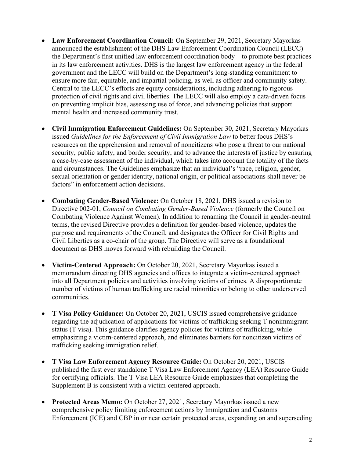- announced the establishment of the DHS Law Enforcement Coordination Council (LECC) the Department's first unified law enforcement coordination body – to promote best practices on preventing implicit bias, assessing use of force, and advancing policies that support • **Law Enforcement Coordination Council:** On September 29, 2021, Secretary Mayorkas in its law enforcement activities. DHS is the largest law enforcement agency in the federal government and the LECC will build on the Department's long-standing commitment to ensure more fair, equitable, and impartial policing, as well as officer and community safety. Central to the LECC's efforts are equity considerations, including adhering to rigorous protection of civil rights and civil liberties. The LECC will also employ a data-driven focus mental health and increased community trust.
- **Civil Immigration Enforcement Guidelines:** On September 30, 2021, Secretary Mayorkas issued *Guidelines for the Enforcement of Civil Immigration Law* to better focus DHS's resources on the apprehension and removal of noncitizens who pose a threat to our national security, public safety, and border security, and to advance the interests of justice by ensuring a case-by-case assessment of the individual, which takes into account the totality of the facts and circumstances. The Guidelines emphasize that an individual's "race, religion, gender, sexual orientation or gender identity, national origin, or political associations shall never be factors" in enforcement action decisions.
- **Combating Gender-Based Violence:** On October 18, 2021, DHS issued a revision to Directive 002-01, *Council on Combating Gender-Based Violence* (formerly the Council on Combating Violence Against Women). In addition to renaming the Council in gender-neutral terms, the revised Directive provides a definition for gender-based violence, updates the purpose and requirements of the Council, and designates the Officer for Civil Rights and Civil Liberties as a co-chair of the group. The Directive will serve as a foundational document as DHS moves forward with rebuilding the Council.
- memorandum directing DHS agencies and offices to integrate a victim-centered approach • **Victim-Centered Approach:** On October 20, 2021, Secretary Mayorkas issued a into all Department policies and activities involving victims of crimes. A disproportionate number of victims of human trafficking are racial minorities or belong to other underserved communities.
- status (T visa). This guidance clarifies agency policies for victims of trafficking, while • **T Visa Policy Guidance:** On October 20, 2021, USCIS issued comprehensive guidance regarding the adjudication of applications for victims of trafficking seeking T nonimmigrant emphasizing a victim-centered approach, and eliminates barriers for noncitizen victims of trafficking seeking immigration relief.
- **T Visa Law Enforcement Agency Resource Guide:** On October 20, 2021, USCIS published the first ever standalone T Visa Law Enforcement Agency (LEA) Resource Guide for certifying officials. The T Visa LEA Resource Guide emphasizes that completing the Supplement B is consistent with a victim-centered approach.
- **Protected Areas Memo:** On October 27, 2021, Secretary Mayorkas issued a new comprehensive policy limiting enforcement actions by Immigration and Customs Enforcement (ICE) and CBP in or near certain protected areas, expanding on and superseding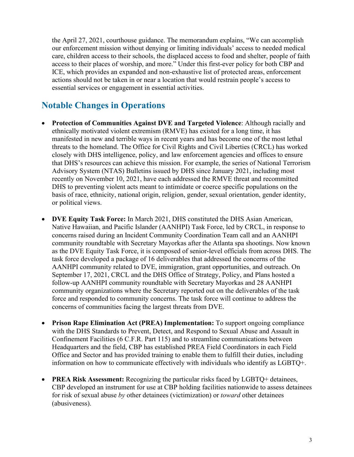the April 27, 2021, courthouse guidance. The memorandum explains, "We can accomplish access to their places of worship, and more." Under this first-ever policy for both CBP and essential services or engagement in essential activities. our enforcement mission without denying or limiting individuals' access to needed medical care, children access to their schools, the displaced access to food and shelter, people of faith ICE, which provides an expanded and non-exhaustive list of protected areas, enforcement actions should not be taken in or near a location that would restrain people's access to

## <span id="page-6-0"></span>**Notable Changes in Operations**

- threats to the homeland. The Office for Civil Rights and Civil Liberties (CRCL) has worked closely with DHS intelligence, policy, and law enforcement agencies and offices to ensure recently on November 10, 2021, have each addressed the RMVE threat and recommitted • **Protection of Communities Against DVE and Targeted Violence**: Although racially and ethnically motivated violent extremism (RMVE) has existed for a long time, it has manifested in new and terrible ways in recent years and has become one of the most lethal that DHS's resources can achieve this mission. For example, the series of National Terrorism Advisory System (NTAS) Bulletins issued by DHS since January 2021, including most DHS to preventing violent acts meant to intimidate or coerce specific populations on the basis of race, ethnicity, national origin, religion, gender, sexual orientation, gender identity, or political views.
- task force developed a package of 16 deliverables that addressed the concerns of the force and responded to community concerns. The task force will continue to address the concerns of communities facing the largest threats from DVE. • **DVE Equity Task Force:** In March 2021, DHS constituted the DHS Asian American, Native Hawaiian, and Pacific Islander (AANHPI) Task Force, led by CRCL, in response to concerns raised during an Incident Community Coordination Team call and an AANHPI community roundtable with Secretary Mayorkas after the Atlanta spa shootings. Now known as the DVE Equity Task Force, it is composed of senior-level officials from across DHS. The AANHPI community related to DVE, immigration, grant opportunities, and outreach. On September 17, 2021, CRCL and the DHS Office of Strategy, Policy, and Plans hosted a follow-up AANHPI community roundtable with Secretary Mayorkas and 28 AANHPI community organizations where the Secretary reported out on the deliverables of the task
- Office and Sector and has provided training to enable them to fulfill their duties, including • **Prison Rape Elimination Act (PREA) Implementation:** To support ongoing compliance with the DHS Standards to Prevent, Detect, and Respond to Sexual Abuse and Assault in Confinement Facilities (6 C.F.R. Part 115) and to streamline communications between Headquarters and the field, CBP has established PREA Field Coordinators in each Field information on how to communicate effectively with individuals who identify as LGBTQ+.
- for risk of sexual abuse *by* other detainees (victimization) or *toward* other detainees • **PREA Risk Assessment:** Recognizing the particular risks faced by LGBTQ+ detainees, CBP developed an instrument for use at CBP holding facilities nationwide to assess detainees (abusiveness).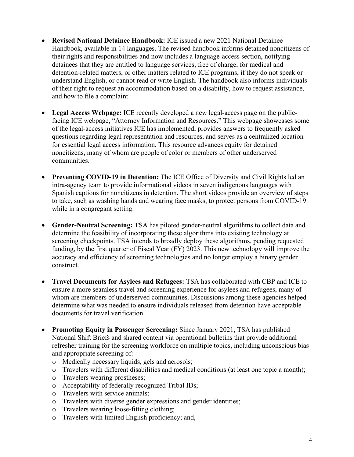- • **Revised National Detainee Handbook:** ICE issued a new 2021 National Detainee Handbook, available in 14 languages. The revised handbook informs detained noncitizens of their rights and responsibilities and now includes a language-access section, notifying detainees that they are entitled to language services, free of charge, for medical and detention-related matters, or other matters related to ICE programs, if they do not speak or understand English, or cannot read or write English. The handbook also informs individuals of their right to request an accommodation based on a disability, how to request assistance, and how to file a complaint.
- **Legal Access Webpage:** ICE recently developed a new legal-access page on the publicfacing ICE webpage, "Attorney Information and Resources." This webpage showcases some of the legal-access initiatives ICE has implemented, provides answers to frequently asked questions regarding legal representation and resources, and serves as a centralized location for essential legal access information. This resource advances equity for detained noncitizens, many of whom are people of color or members of other underserved communities.
- • **Preventing COVID-19 in Detention:** The ICE Office of Diversity and Civil Rights led an intra-agency team to provide informational videos in seven indigenous languages with Spanish captions for noncitizens in detention. The short videos provide an overview of steps to take, such as washing hands and wearing face masks, to protect persons from COVID-19 while in a congregant setting.
- funding, by the first quarter of Fiscal Year (FY) 2023. This new technology will improve the accuracy and efficiency of screening technologies and no longer employ a binary gender • **Gender-Neutral Screening:** TSA has piloted gender-neutral algorithms to collect data and determine the feasibility of incorporating these algorithms into existing technology at screening checkpoints. TSA intends to broadly deploy these algorithms, pending requested construct.
- ensure a more seamless travel and screening experience for asylees and refugees, many of whom are members of underserved communities. Discussions among these agencies helped • **Travel Documents for Asylees and Refugees:** TSA has collaborated with CBP and ICE to determine what was needed to ensure individuals released from detention have acceptable documents for travel verification.
- refresher training for the screening workforce on multiple topics, including unconscious bias • **Promoting Equity in Passenger Screening:** Since January 2021, TSA has published National Shift Briefs and shared content via operational bulletins that provide additional and appropriate screening of:
	- o Medically necessary liquids, gels and aerosols;
	- o Travelers with different disabilities and medical conditions (at least one topic a month);
	- o Travelers wearing prostheses;
	- o Acceptability of federally recognized Tribal IDs;
	- o Travelers with service animals;
	- o Travelers with diverse gender expressions and gender identities;
	- o Travelers wearing loose-fitting clothing;
	- o Travelers with limited English proficiency; and,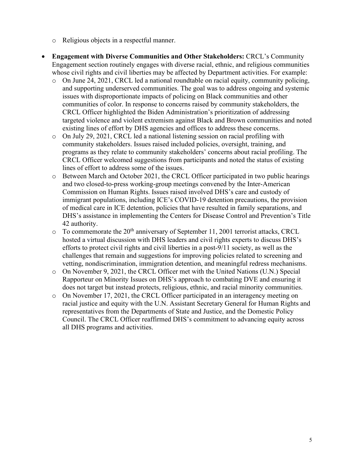- o Religious objects in a respectful manner.
- **Engagement with Diverse Communities and Other Stakeholders:** CRCL's Community Engagement section routinely engages with diverse racial, ethnic, and religious communities whose civil rights and civil liberties may be affected by Department activities. For example:
	- existing lines of effort by DHS agencies and offices to address these concerns. o On June 24, 2021, CRCL led a national roundtable on racial equity, community policing, and supporting underserved communities. The goal was to address ongoing and systemic issues with disproportionate impacts of policing on Black communities and other communities of color. In response to concerns raised by community stakeholders, the CRCL Officer highlighted the Biden Administration's prioritization of addressing targeted violence and violent extremism against Black and Brown communities and noted
	- o On July 29, 2021, CRCL led a national listening session on racial profiling with CRCL Officer welcomed suggestions from participants and noted the status of existing community stakeholders. Issues raised included policies, oversight, training, and programs as they relate to community stakeholders' concerns about racial profiling. The lines of effort to address some of the issues.
	- o Between March and October 2021, the CRCL Officer participated in two public hearings and two closed-to-press working-group meetings convened by the Inter-American Commission on Human Rights. Issues raised involved DHS's care and custody of immigrant populations, including ICE's COVID-19 detention precautions, the provision of medical care in ICE detention, policies that have resulted in family separations, and DHS's assistance in implementing the Centers for Disease Control and Prevention's Title 42 authority.
	- hosted a virtual discussion with DHS leaders and civil rights experts to discuss DHS's  $\circ$  To commemorate the 20<sup>th</sup> anniversary of September 11, 2001 terrorist attacks, CRCL efforts to protect civil rights and civil liberties in a post-9/11 society, as well as the challenges that remain and suggestions for improving policies related to screening and vetting, nondiscrimination, immigration detention, and meaningful redress mechanisms.
	- o On November 9, 2021, the CRCL Officer met with the United Nations (U.N.) Special Rapporteur on Minority Issues on DHS's approach to combating DVE and ensuring it does not target but instead protects, religious, ethnic, and racial minority communities.
	- representatives from the Departments of State and Justice, and the Domestic Policy o On November 17, 2021, the CRCL Officer participated in an interagency meeting on racial justice and equity with the U.N. Assistant Secretary General for Human Rights and Council. The CRCL Officer reaffirmed DHS's commitment to advancing equity across all DHS programs and activities.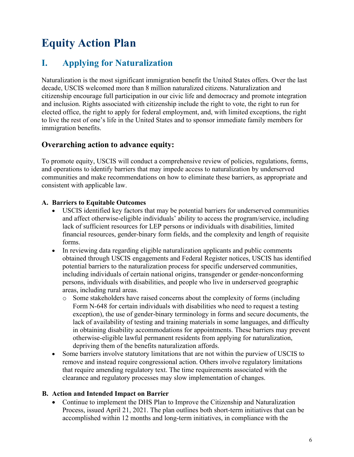## <span id="page-9-0"></span> **Equity Action Plan**

## <span id="page-9-1"></span>**I. Applying for Naturalization**

Naturalization is the most significant immigration benefit the United States offers. Over the last decade, USCIS welcomed more than 8 million naturalized citizens. Naturalization and citizenship encourage full participation in our civic life and democracy and promote integration and inclusion. Rights associated with citizenship include the right to vote, the right to run for elected office, the right to apply for federal employment, and, with limited exceptions, the right to live the rest of one's life in the United States and to sponsor immediate family members for immigration benefits.

#### **Overarching action to advance equity:**

To promote equity, USCIS will conduct a comprehensive review of policies, regulations, forms, and operations to identify barriers that may impede access to naturalization by underserved communities and make recommendations on how to eliminate these barriers, as appropriate and consistent with applicable law.

#### **A. Barriers to Equitable Outcomes**

- USCIS identified key factors that may be potential barriers for underserved communities and affect otherwise-eligible individuals' ability to access the program/service, including lack of sufficient resources for LEP persons or individuals with disabilities, limited financial resources, gender-binary form fields, and the complexity and length of requisite forms.
- • In reviewing data regarding eligible naturalization applicants and public comments obtained through USCIS engagements and Federal Register notices, USCIS has identified potential barriers to the naturalization process for specific underserved communities, including individuals of certain national origins, transgender or gender-nonconforming persons, individuals with disabilities, and people who live in underserved geographic areas, including rural areas.
	- in obtaining disability accommodations for appointments. These barriers may prevent o Some stakeholders have raised concerns about the complexity of forms (including Form N-648 for certain individuals with disabilities who need to request a testing exception), the use of gender-binary terminology in forms and secure documents, the lack of availability of testing and training materials in some languages, and difficulty otherwise-eligible lawful permanent residents from applying for naturalization, depriving them of the benefits naturalization affords.
- Some barriers involve statutory limitations that are not within the purview of USCIS to remove and instead require congressional action. Others involve regulatory limitations that require amending regulatory text. The time requirements associated with the clearance and regulatory processes may slow implementation of changes.

#### **B. Action and Intended Impact on Barrier**

• Continue to implement the DHS Plan to Improve the Citizenship and Naturalization Process, issued April 21, 2021. The plan outlines both short-term initiatives that can be accomplished within 12 months and long-term initiatives, in compliance with the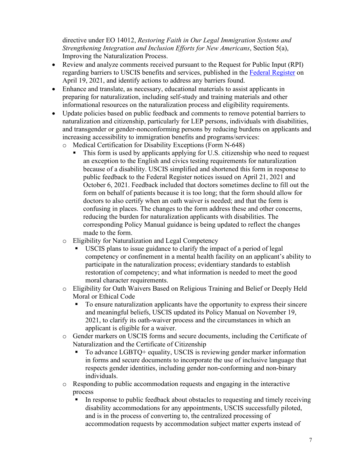directive under EO 14012, *Restoring Faith in Our Legal Immigration Systems and Strengthening Integration and Inclusion Efforts for New Americans*, Section 5(a), Improving the Naturalization Process.

- • Review and analyze comments received pursuant to the Request for Public Input (RPI) April 19, 2021, and identify actions to address any barriers found. regarding barriers to USCIS benefits and services, published in the [Federal Register](https://www.federalregister.gov/documents/2021/04/19/2021-07987/identifying-barriers-across-us-citizenship-and-immigration-services-uscis-benefits-and-services) on
- Enhance and translate, as necessary, educational materials to assist applicants in preparing for naturalization, including self-study and training materials and other informational resources on the naturalization process and eligibility requirements.
- Update policies based on public feedback and comments to remove potential barriers to naturalization and citizenship, particularly for LEP persons, individuals with disabilities, and transgender or gender-nonconforming persons by reducing burdens on applicants and increasing accessibility to immigration benefits and programs/services:
	- o Medical Certification for Disability Exceptions (Form N-648)
		- because of a disability. USCIS simplified and shortened this form in response to October 6, 2021. Feedback included that doctors sometimes decline to fill out the This form is used by applicants applying for U.S. citizenship who need to request an exception to the English and civics testing requirements for naturalization public feedback to the Federal Register notices issued on April 21, 2021 and form on behalf of patients because it is too long; that the form should allow for doctors to also certify when an oath waiver is needed; and that the form is confusing in places. The changes to the form address these and other concerns, reducing the burden for naturalization applicants with disabilities. The corresponding Policy Manual guidance is being updated to reflect the changes made to the form.
	- o Eligibility for Naturalization and Legal Competency
		- USCIS plans to issue guidance to clarify the impact of a period of legal competency or confinement in a mental health facility on an applicant's ability to participate in the naturalization process; evidentiary standards to establish restoration of competency; and what information is needed to meet the good moral character requirements.
	- o Eligibility for Oath Waivers Based on Religious Training and Belief or Deeply Held Moral or Ethical Code
		- To ensure naturalization applicants have the opportunity to express their sincere 2021, to clarify its oath-waiver process and the circumstances in which an and meaningful beliefs, USCIS updated its Policy Manual on November 19, applicant is eligible for a waiver.
	- o Gender markers on USCIS forms and secure documents, including the Certificate of Naturalization and the Certificate of Citizenship
		- To advance LGBTQ+ equality, USCIS is reviewing gender marker information in forms and secure documents to incorporate the use of inclusive language that respects gender identities, including gender non-conforming and non-binary individuals.
	- o Responding to public accommodation requests and engaging in the interactive process
		- In response to public feedback about obstacles to requesting and timely receiving disability accommodations for any appointments, USCIS successfully piloted, and is in the process of converting to, the centralized processing of accommodation requests by accommodation subject matter experts instead of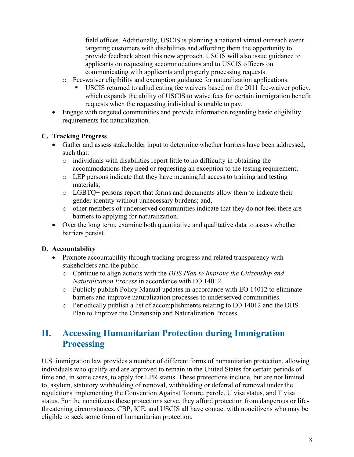field offices. Additionally, USCIS is planning a national virtual outreach event targeting customers with disabilities and affording them the opportunity to provide feedback about this new approach. USCIS will also issue guidance to applicants on requesting accommodations and to USCIS officers on communicating with applicants and properly processing requests.

- o Fee-waiver eligibility and exemption guidance for naturalization applications.
	- requests when the requesting individual is unable to pay. USCIS returned to adjudicating fee waivers based on the 2011 fee-waiver policy, which expands the ability of USCIS to waive fees for certain immigration benefit
- Engage with targeted communities and provide information regarding basic eligibility requirements for naturalization.

#### **C. Tracking Progress**

- • Gather and assess stakeholder input to determine whether barriers have been addressed, such that:
	- o individuals with disabilities report little to no difficulty in obtaining the accommodations they need or requesting an exception to the testing requirement;
	- o LEP persons indicate that they have meaningful access to training and testing materials;
	- o LGBTQ+ persons report that forms and documents allow them to indicate their gender identity without unnecessary burdens; and,
	- o other members of underserved communities indicate that they do not feel there are barriers to applying for naturalization.
- Over the long term, examine both quantitative and qualitative data to assess whether barriers persist.

#### **D. Accountability**

- Promote accountability through tracking progress and related transparency with stakeholders and the public.
	- o Continue to align actions with the *DHS Plan to Improve the Citizenship and Naturalization Process* in accordance with EO 14012.
	- o Publicly publish Policy Manual updates in accordance with EO 14012 to eliminate barriers and improve naturalization processes to underserved communities.
	- o Periodically publish a list of accomplishments relating to EO 14012 and the DHS Plan to Improve the Citizenship and Naturalization Process.

### <span id="page-11-0"></span>**II. Accessing Humanitarian Protection during Immigration Processing**

U.S. immigration law provides a number of different forms of humanitarian protection, allowing individuals who qualify and are approved to remain in the United States for certain periods of time and, in some cases, to apply for LPR status. These protections include, but are not limited to, asylum, statutory withholding of removal, withholding or deferral of removal under the regulations implementing the Convention Against Torture, parole, U visa status, and T visa status. For the noncitizens these protections serve, they afford protection from dangerous or lifethreatening circumstances. CBP, ICE, and USCIS all have contact with noncitizens who may be eligible to seek some form of humanitarian protection.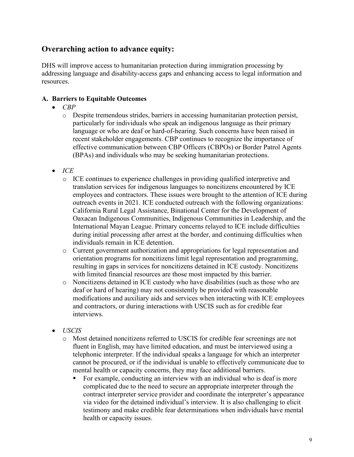#### **Overarching action to advance equity:**

DHS will improve access to humanitarian protection during immigration processing by addressing language and disability-access gaps and enhancing access to legal information and resources.

#### **A. Barriers to Equitable Outcomes**

- *CBP*
	- o Despite tremendous strides, barriers in accessing humanitarian protection persist, particularly for individuals who speak an indigenous language as their primary language or who are deaf or hard-of-hearing. Such concerns have been raised in recent stakeholder engagements. CBP continues to recognize the importance of effective communication between CBP Officers (CBPOs) or Border Patrol Agents (BPAs) and individuals who may be seeking humanitarian protections.
- *ICE*
	- California Rural Legal Assistance, Binational Center for the Development of o ICE continues to experience challenges in providing qualified interpretive and translation services for indigenous languages to noncitizens encountered by ICE employees and contractors. These issues were brought to the attention of ICE during outreach events in 2021. ICE conducted outreach with the following organizations: Oaxacan Indigenous Communities, Indigenous Communities in Leadership, and the International Mayan League. Primary concerns relayed to ICE include difficulties during initial processing after arrest at the border, and continuing difficulties when individuals remain in ICE detention.
	- resulting in gaps in services for noncitizens detained in ICE custody. Noncitizens with limited financial resources are those most impacted by this barrier. o Current government authorization and appropriations for legal representation and orientation programs for noncitizens limit legal representation and programming,
	- o Noncitizens detained in ICE custody who have disabilities (such as those who are deaf or hard of hearing) may not consistently be provided with reasonable modifications and auxiliary aids and services when interacting with ICE employees and contractors, or during interactions with USCIS such as for credible fear interviews.
- *USCIS*
	- o Most detained noncitizens referred to USCIS for credible fear screenings are not fluent in English, may have limited education, and must be interviewed using a telephonic interpreter. If the individual speaks a language for which an interpreter cannot be procured, or if the individual is unable to effectively communicate due to mental health or capacity concerns, they may face additional barriers.
		- For example, conducting an interview with an individual who is deaf is more complicated due to the need to secure an appropriate interpreter through the contract interpreter service provider and coordinate the interpreter's appearance via video for the detained individual's interview. It is also challenging to elicit testimony and make credible fear determinations when individuals have mental health or capacity issues.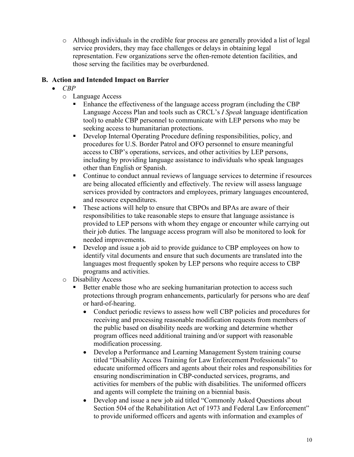representation. Few organizations serve the often-remote detention facilities, and o Although individuals in the credible fear process are generally provided a list of legal service providers, they may face challenges or delays in obtaining legal those serving the facilities may be overburdened.

#### **B. Action and Intended Impact on Barrier**

- *CBP*
	- o Language Access
		- **Enhance the effectiveness of the language access program (including the CBP**  Language Access Plan and tools such as CRCL's *I Speak* language identification tool) to enable CBP personnel to communicate with LEP persons who may be seeking access to humanitarian protections.
		- Develop Internal Operating Procedure defining responsibilities, policy, and procedures for U.S. Border Patrol and OFO personnel to ensure meaningful access to CBP's operations, services, and other activities by LEP persons, including by providing language assistance to individuals who speak languages other than English or Spanish.
		- are being allocated efficiently and effectively. The review will assess language Continue to conduct annual reviews of language services to determine if resources services provided by contractors and employees, primary languages encountered, and resource expenditures.
		- responsibilities to take reasonable steps to ensure that language assistance is These actions will help to ensure that CBPOs and BPAs are aware of their provided to LEP persons with whom they engage or encounter while carrying out their job duties. The language access program will also be monitored to look for needed improvements.
		- identify vital documents and ensure that such documents are translated into the Develop and issue a job aid to provide guidance to CBP employees on how to languages most frequently spoken by LEP persons who require access to CBP programs and activities.
	- o Disability Access
		- Better enable those who are seeking humanitarian protection to access such protections through program enhancements, particularly for persons who are deaf or hard-of-hearing.
			- • Conduct periodic reviews to assess how well CBP policies and procedures for receiving and processing reasonable modification requests from members of the public based on disability needs are working and determine whether program offices need additional training and/or support with reasonable modification processing.
			- educate uniformed officers and agents about their roles and responsibilities for • Develop a Performance and Learning Management System training course titled "Disability Access Training for Law Enforcement Professionals" to ensuring nondiscrimination in CBP-conducted services, programs, and activities for members of the public with disabilities. The uniformed officers and agents will complete the training on a biennial basis.
			- • Develop and issue a new job aid titled "Commonly Asked Questions about Section 504 of the Rehabilitation Act of 1973 and Federal Law Enforcement" to provide uniformed officers and agents with information and examples of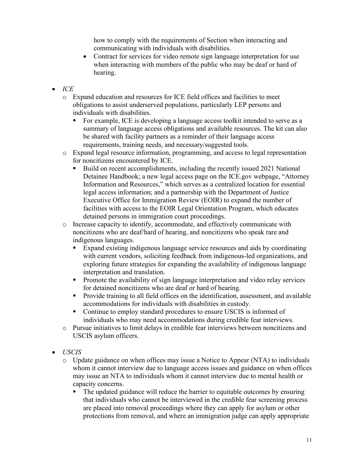how to comply with the requirements of Section when interacting and communicating with individuals with disabilities.

- hearing. • Contract for services for video remote sign language interpretation for use when interacting with members of the public who may be deaf or hard of
- *ICE*
	- o Expand education and resources for ICE field offices and facilities to meet obligations to assist underserved populations, particularly LEP persons and individuals with disabilities.
		- **For example, ICE is developing a language access toolkit intended to serve as a**  be shared with facility partners as a reminder of their language access summary of language access obligations and available resources. The kit can also requirements, training needs, and necessary/suggested tools.
	- o Expand legal resource information, programming, and access to legal representation for noncitizens encountered by ICE.
		- Executive Office for Immigration Review (EOIR) to expand the number of Build on recent accomplishments, including the recently issued 2021 National Detainee Handbook; a new legal access page on the ICE.gov webpage, "Attorney Information and Resources," which serves as a centralized location for essential legal access information; and a partnership with the Department of Justice facilities with access to the EOIR Legal Orientation Program, which educates detained persons in immigration court proceedings.
	- o Increase capacity to identify, accommodate, and effectively communicate with noncitizens who are deaf/hard of hearing, and noncitizens who speak rare and indigenous languages.
		- Expand existing indigenous language service resources and aids by coordinating with current vendors, soliciting feedback from indigenous-led organizations, and exploring future strategies for expanding the availability of indigenous language interpretation and translation.
		- **Promote the availability of sign language interpretation and video relay services** for detained noncitizens who are deaf or hard of hearing.
		- **Provide training to all field offices on the identification, assessment, and available** accommodations for individuals with disabilities in custody.
		- Continue to employ standard procedures to ensure USCIS is informed of individuals who may need accommodations during credible fear interviews.
	- o Pursue initiatives to limit delays in credible fear interviews between noncitizens and USCIS asylum officers.
- *USCIS*
	- o Update guidance on when offices may issue a Notice to Appear (NTA) to individuals whom it cannot interview due to language access issues and guidance on when offices may issue an NTA to individuals whom it cannot interview due to mental health or capacity concerns.
		- The updated guidance will reduce the barrier to equitable outcomes by ensuring that individuals who cannot be interviewed in the credible fear screening process are placed into removal proceedings where they can apply for asylum or other protections from removal, and where an immigration judge can apply appropriate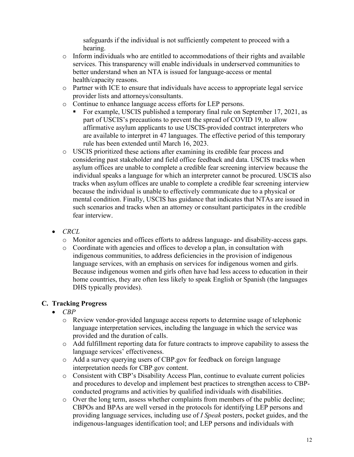safeguards if the individual is not sufficiently competent to proceed with a hearing.

- $\circ$  Inform individuals who are entitled to accommodations of their rights and available services. This transparency will enable individuals in underserved communities to better understand when an NTA is issued for language-access or mental health/capacity reasons.
- o Partner with ICE to ensure that individuals have access to appropriate legal service provider lists and attorneys/consultants.
- o Continue to enhance language access efforts for LEP persons.
	- For example, USCIS published a temporary final rule on September 17, 2021, as part of USCIS's precautions to prevent the spread of COVID 19, to allow affirmative asylum applicants to use USCIS-provided contract interpreters who are available to interpret in 47 languages. The effective period of this temporary rule has been extended until March 16, 2023.
- o USCIS prioritized these actions after examining its credible fear process and considering past stakeholder and field office feedback and data. USCIS tracks when asylum offices are unable to complete a credible fear screening interview because the individual speaks a language for which an interpreter cannot be procured. USCIS also tracks when asylum offices are unable to complete a credible fear screening interview because the individual is unable to effectively communicate due to a physical or mental condition. Finally, USCIS has guidance that indicates that NTAs are issued in such scenarios and tracks when an attorney or consultant participates in the credible fear interview.
- *CRCL*
	- o Monitor agencies and offices efforts to address language- and disability-access gaps.
	- o Coordinate with agencies and offices to develop a plan, in consultation with home countries, they are often less likely to speak English or Spanish (the languages DHS typically provides). indigenous communities, to address deficiencies in the provision of indigenous language services, with an emphasis on services for indigenous women and girls. Because indigenous women and girls often have had less access to education in their

#### **C. Tracking Progress**

- *CBP*
	- o Review vendor-provided language access reports to determine usage of telephonic language interpretation services, including the language in which the service was provided and the duration of calls.
	- o Add fulfillment reporting data for future contracts to improve capability to assess the language services' effectiveness.
	- o Add a survey querying users of CBP.gov for feedback on foreign language interpretation needs for CBP.gov content.
	- conducted programs and activities by qualified individuals with disabilities. o Consistent with CBP's Disability Access Plan, continue to evaluate current policies and procedures to develop and implement best practices to strengthen access to CBP-
	- o Over the long term, assess whether complaints from members of the public decline; providing language services, including use of *I Speak* posters, pocket guides, and the CBPOs and BPAs are well versed in the protocols for identifying LEP persons and indigenous-languages identification tool; and LEP persons and individuals with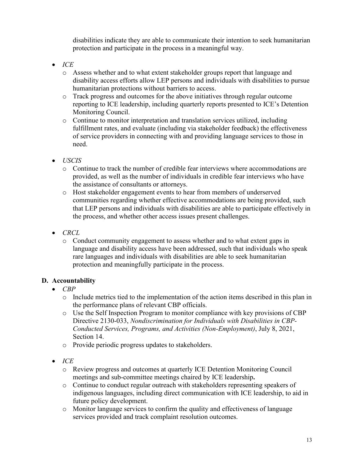protection and participate in the process in a meaningful way. disabilities indicate they are able to communicate their intention to seek humanitarian

- *ICE*
	- o Assess whether and to what extent stakeholder groups report that language and disability access efforts allow LEP persons and individuals with disabilities to pursue humanitarian protections without barriers to access.
	- o Track progress and outcomes for the above initiatives through regular outcome reporting to ICE leadership, including quarterly reports presented to ICE's Detention Monitoring Council.
	- of service providers in connecting with and providing language services to those in o Continue to monitor interpretation and translation services utilized, including fulfillment rates, and evaluate (including via stakeholder feedback) the effectiveness need.
- *USCIS*
	- o Continue to track the number of credible fear interviews where accommodations are provided, as well as the number of individuals in credible fear interviews who have the assistance of consultants or attorneys.
	- o Host stakeholder engagement events to hear from members of underserved communities regarding whether effective accommodations are being provided, such the process, and whether other access issues present challenges. that LEP persons and individuals with disabilities are able to participate effectively in
- *CRCL*
	- o Conduct community engagement to assess whether and to what extent gaps in language and disability access have been addressed, such that individuals who speak rare languages and individuals with disabilities are able to seek humanitarian protection and meaningfully participate in the process.

#### **D. Accountability**

- *CBP*
	- o Include metrics tied to the implementation of the action items described in this plan in the performance plans of relevant CBP officials.
	- o Use the Self Inspection Program to monitor compliance with key provisions of CBP Directive 2130-033, *Nondiscrimination for Individuals with Disabilities in CBP-Conducted Services, Programs, and Activities (Non-Employment)*, July 8, 2021, Section 14.
	- o Provide periodic progress updates to stakeholders.
- *ICE*
	- o Review progress and outcomes at quarterly ICE Detention Monitoring Council meetings and sub-committee meetings chaired by ICE leadership**.**
	- o Continue to conduct regular outreach with stakeholders representing speakers of indigenous languages, including direct communication with ICE leadership, to aid in future policy development.
	- o Monitor language services to confirm the quality and effectiveness of language services provided and track complaint resolution outcomes.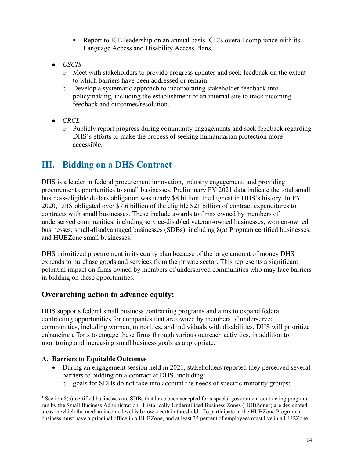- Report to ICE leadership on an annual basis ICE's overall compliance with its Language Access and Disability Access Plans.
- *USCIS*
	- o Meet with stakeholders to provide progress updates and seek feedback on the extent to which barriers have been addressed or remain.
	- o Develop a systematic approach to incorporating stakeholder feedback into policymaking, including the establishment of an internal site to track incoming feedback and outcomes/resolution.
- *CRCL*
	- accessible. o Publicly report progress during community engagements and seek feedback regarding DHS's efforts to make the process of seeking humanitarian protection more

## <span id="page-17-0"></span>**III. Bidding on a DHS Contract**

 businesses; small-disadvantaged businesses (SDBs), including 8(a) Program certified businesses; DHS is a leader in federal procurement innovation, industry engagement, and providing procurement opportunities to small businesses. Preliminary FY 2021 data indicate the total small business-eligible dollars obligation was nearly \$8 billion, the highest in DHS's history. In FY 2020, DHS obligated over \$7.6 billion of the eligible \$21 billion of contract expenditures to contracts with small businesses. These include awards to firms owned by members of underserved communities, including service-disabled veteran-owned businesses; women-owned and HUBZone small businesses. $<sup>1</sup>$  $<sup>1</sup>$  $<sup>1</sup>$ </sup>

 DHS prioritized procurement in its equity plan because of the large amount of money DHS expends to purchase goods and services from the private sector. This represents a significant potential impact on firms owned by members of underserved communities who may face barriers in bidding on these opportunities.

#### **Overarching action to advance equity:**

DHS supports federal small business contracting programs and aims to expand federal contracting opportunities for companies that are owned by members of underserved communities, including women, minorities, and individuals with disabilities. DHS will prioritize enhancing efforts to engage these firms through various outreach activities, in addition to monitoring and increasing small business goals as appropriate.

#### **A. Barriers to Equitable Outcomes**

- During an engagement session held in 2021, stakeholders reported they perceived several barriers to bidding on a contract at DHS, including:
	- o goals for SDBs do not take into account the needs of specific minority groups;

<span id="page-17-1"></span><sup>&</sup>lt;sup>1</sup> Section 8(a)-certified businesses are SDBs that have been accepted for a special government contracting program run by the Small Business Administration. Historically Underutilized Business Zones (HUBZones) are designated areas in which the median income level is below a certain threshold. To participate in the HUBZone Program, a business must have a principal office in a HUBZone, and at least 35 percent of employees must live in a HUBZone.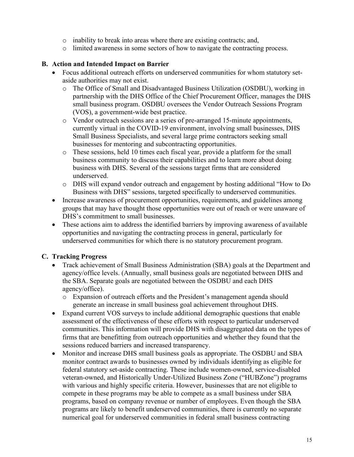- o inability to break into areas where there are existing contracts; and,
- o limited awareness in some sectors of how to navigate the contracting process.

#### **B. Action and Intended Impact on Barrier**

- Focus additional outreach efforts on underserved communities for whom statutory setaside authorities may not exist.
	- o The Office of Small and Disadvantaged Business Utilization (OSDBU), working in partnership with the DHS Office of the Chief Procurement Officer, manages the DHS small business program. OSDBU oversees the Vendor Outreach Sessions Program (VOS), a government-wide best practice.
	- o Vendor outreach sessions are a series of pre-arranged 15-minute appointments, currently virtual in the COVID-19 environment, involving small businesses, DHS Small Business Specialists, and several large prime contractors seeking small businesses for mentoring and subcontracting opportunities.
	- o These sessions, held 10 times each fiscal year, provide a platform for the small business community to discuss their capabilities and to learn more about doing business with DHS. Several of the sessions target firms that are considered underserved.
	- o DHS will expand vendor outreach and engagement by hosting additional "How to Do Business with DHS" sessions, targeted specifically to underserved communities.
- Increase awareness of procurement opportunities, requirements, and guidelines among groups that may have thought those opportunities were out of reach or were unaware of DHS's commitment to small businesses.
- These actions aim to address the identified barriers by improving awareness of available opportunities and navigating the contracting process in general, particularly for underserved communities for which there is no statutory procurement program.

#### **C. Tracking Progress**

- Track achievement of Small Business Administration (SBA) goals at the Department and agency/office levels. (Annually, small business goals are negotiated between DHS and the SBA. Separate goals are negotiated between the OSDBU and each DHS agency/office).
	- generate an increase in small business goal achievement throughout DHS. o Expansion of outreach efforts and the President's management agenda should
- • Expand current VOS surveys to include additional demographic questions that enable assessment of the effectiveness of these efforts with respect to particular underserved communities. This information will provide DHS with disaggregated data on the types of firms that are benefitting from outreach opportunities and whether they found that the sessions reduced barriers and increased transparency.
- • Monitor and increase DHS small business goals as appropriate. The OSDBU and SBA monitor contract awards to businesses owned by individuals identifying as eligible for compete in these programs may be able to compete as a small business under SBA federal statutory set-aside contracting. These include women-owned, service-disabled veteran-owned, and Historically Under-Utilized Business Zone ("HUBZone") programs with various and highly specific criteria. However, businesses that are not eligible to programs, based on company revenue or number of employees. Even though the SBA programs are likely to benefit underserved communities, there is currently no separate numerical goal for underserved communities in federal small business contracting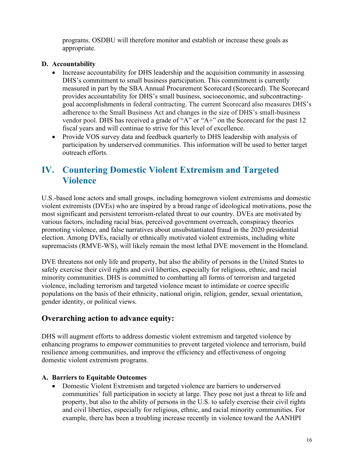appropriate. programs. OSDBU will therefore monitor and establish or increase these goals as

#### **D. Accountability**

- provides accountability for DHS's small business, socioeconomic, and subcontracting- adherence to the Small Business Act and changes in the size of DHS's small-business • Increase accountability for DHS leadership and the acquisition community in assessing DHS's commitment to small business participation. This commitment is currently measured in part by the SBA Annual Procurement Scorecard (Scorecard). The Scorecard goal accomplishments in federal contracting. The current Scorecard also measures DHS's vendor pool. DHS has received a grade of "A" or "A+" on the Scorecard for the past 12 fiscal years and will continue to strive for this level of excellence.
- Provide VOS survey data and feedback quarterly to DHS leadership with analysis of participation by underserved communities. This information will be used to better target outreach efforts.

### <span id="page-19-0"></span>**IV. Countering Domestic Violent Extremism and Targeted Violence**

U.S.-based lone actors and small groups, including homegrown violent extremisms and domestic violent extremists (DVEs) who are inspired by a broad range of ideological motivations, pose the most significant and persistent terrorism-related threat to our country. DVEs are motivated by various factors, including racial bias, perceived government overreach, conspiracy theories promoting violence, and false narratives about unsubstantiated fraud in the 2020 presidential election. Among DVEs, racially or ethnically motivated violent extremists, including white supremacists (RMVE-WS), will likely remain the most lethal DVE movement in the Homeland.

DVE threatens not only life and property, but also the ability of persons in the United States to safely exercise their civil rights and civil liberties, especially for religious, ethnic, and racial minority communities. DHS is committed to combatting all forms of terrorism and targeted violence, including terrorism and targeted violence meant to intimidate or coerce specific populations on the basis of their ethnicity, national origin, religion, gender, sexual orientation, gender identity, or political views.

#### **Overarching action to advance equity:**

DHS will augment efforts to address domestic violent extremism and targeted violence by enhancing programs to empower communities to prevent targeted violence and terrorism, build resilience among communities, and improve the efficiency and effectiveness of ongoing domestic violent extremism programs.

#### **A. Barriers to Equitable Outcomes**

 • Domestic Violent Extremism and targeted violence are barriers to underserved communities' full participation in society at large. They pose not just a threat to life and property, but also to the ability of persons in the U.S. to safely exercise their civil rights and civil liberties, especially for religious, ethnic, and racial minority communities. For example, there has been a troubling increase recently in violence toward the AANHPI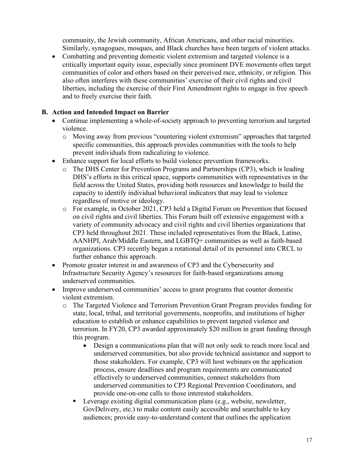community, the Jewish community, African Americans, and other racial minorities. Similarly, synagogues, mosques, and Black churches have been targets of violent attacks.

 critically important equity issue, especially since prominent DVE movements often target • Combatting and preventing domestic violent extremism and targeted violence is a communities of color and others based on their perceived race, ethnicity, or religion. This also often interferes with these communities' exercise of their civil rights and civil liberties, including the exercise of their First Amendment rights to engage in free speech and to freely exercise their faith.

#### **B. Action and Intended Impact on Barrier**

- Continue implementing a whole-of-society approach to preventing terrorism and targeted violence.
	- o Moving away from previous "countering violent extremism" approaches that targeted specific communities, this approach provides communities with the tools to help prevent individuals from radicalizing to violence.
- Enhance support for local efforts to build violence prevention frameworks.
	- The DHS Center for Prevention Programs and Partnerships (CP3), which is leading DHS's efforts in this critical space, supports communities with representatives in the field across the United States, providing both resources and knowledge to build the capacity to identify individual behavioral indicators that may lead to violence regardless of motive or ideology.
	- o For example, in October 2021, CP3 held a Digital Forum on Prevention that focused on civil rights and civil liberties. This Forum built off extensive engagement with a variety of community advocacy and civil rights and civil liberties organizations that CP3 held throughout 2021. These included representatives from the Black, Latino, AANHPI, Arab/Middle Eastern, and LGBTQ+ communities as well as faith-based organizations. CP3 recently began a rotational detail of its personnel into CRCL to further enhance this approach.
- • Promote greater interest in and awareness of CP3 and the Cybersecurity and underserved communities. Infrastructure Security Agency's resources for faith-based organizations among
- Improve underserved communities' access to grant programs that counter domestic violent extremism.
	- o The Targeted Violence and Terrorism Prevention Grant Program provides funding for state, local, tribal, and territorial governments, nonprofits, and institutions of higher education to establish or enhance capabilities to prevent targeted violence and terrorism. In FY20, CP3 awarded approximately \$20 million in grant funding through this program.
		- Design a communications plan that will not only seek to reach more local and underserved communities, but also provide technical assistance and support to those stakeholders. For example, CP3 will host webinars on the application process, ensure deadlines and program requirements are communicated effectively to underserved communities, connect stakeholders from underserved communities to CP3 Regional Prevention Coordinators, and provide one-on-one calls to those interested stakeholders.
		- Leverage existing digital communication plans (e.g., website, newsletter, GovDelivery, etc.) to make content easily accessible and searchable to key audiences; provide easy-to-understand content that outlines the application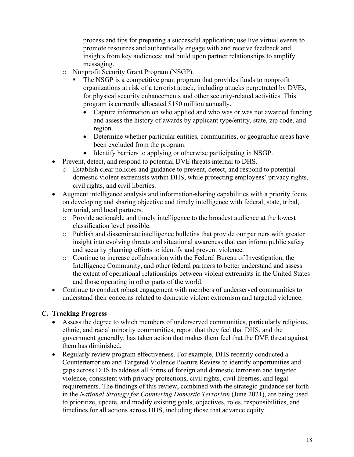process and tips for preparing a successful application; use live virtual events to promote resources and authentically engage with and receive feedback and insights from key audiences; and build upon partner relationships to amplify messaging.

- o Nonprofit Security Grant Program (NSGP).
	- organizations at risk of a terrorist attack, including attacks perpetrated by DVEs, The NSGP is a competitive grant program that provides funds to nonprofit for physical security enhancements and other security-related activities. This program is currently allocated \$180 million annually.
		- Capture information on who applied and who was or was not awarded funding and assess the history of awards by applicant type/entity, state, zip code, and region.
		- Determine whether particular entities, communities, or geographic areas have been excluded from the program.
		- Identify barriers to applying or otherwise participating in NSGP.
- Prevent, detect, and respond to potential DVE threats internal to DHS.
	- o Establish clear policies and guidance to prevent, detect, and respond to potential domestic violent extremists within DHS, while protecting employees' privacy rights, civil rights, and civil liberties.
- Augment intelligence analysis and information-sharing capabilities with a priority focus on developing and sharing objective and timely intelligence with federal, state, tribal, territorial, and local partners.
	- o Provide actionable and timely intelligence to the broadest audience at the lowest classification level possible.
	- insight into evolving threats and situational awareness that can inform public safety o Publish and disseminate intelligence bulletins that provide our partners with greater and security planning efforts to identify and prevent violence.
	- o Continue to increase collaboration with the Federal Bureau of Investigation, the Intelligence Community, and other federal partners to better understand and assess the extent of operational relationships between violent extremists in the United States and those operating in other parts of the world.
- Continue to conduct robust engagement with members of underserved communities to understand their concerns related to domestic violent extremism and targeted violence.

#### **C. Tracking Progress**

- Assess the degree to which members of underserved communities, particularly religious, ethnic, and racial minority communities, report that they feel that DHS, and the government generally, has taken action that makes them feel that the DVE threat against them has diminished.
- Regularly review program effectiveness. For example, DHS recently conducted a Counterterrorism and Targeted Violence Posture Review to identify opportunities and gaps across DHS to address all forms of foreign and domestic terrorism and targeted violence, consistent with privacy protections, civil rights, civil liberties, and legal requirements. The findings of this review, combined with the strategic guidance set forth in the *National Strategy for Countering Domestic Terrorism* (June 2021), are being used to prioritize, update, and modify existing goals, objectives, roles, responsibilities, and timelines for all actions across DHS, including those that advance equity.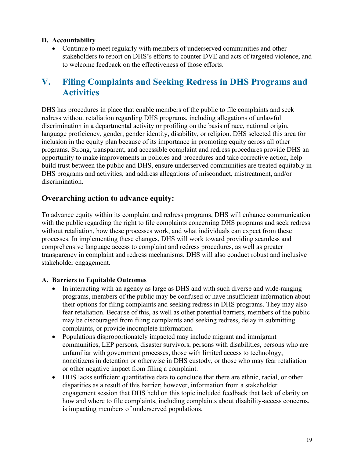#### **D. Accountability**

 stakeholders to report on DHS's efforts to counter DVE and acts of targeted violence, and • Continue to meet regularly with members of underserved communities and other to welcome feedback on the effectiveness of those efforts.

### <span id="page-22-0"></span>**V. Filing Complaints and Seeking Redress in DHS Programs and Activities**

 inclusion in the equity plan because of its importance in promoting equity across all other DHS has procedures in place that enable members of the public to file complaints and seek redress without retaliation regarding DHS programs, including allegations of unlawful discrimination in a departmental activity or profiling on the basis of race, national origin, language proficiency, gender, gender identity, disability, or religion. DHS selected this area for programs. Strong, transparent, and accessible complaint and redress procedures provide DHS an opportunity to make improvements in policies and procedures and take corrective action, help build trust between the public and DHS, ensure underserved communities are treated equitably in DHS programs and activities, and address allegations of misconduct, mistreatment, and/or discrimination.

#### **Overarching action to advance equity:**

 with the public regarding the right to file complaints concerning DHS programs and seek redress To advance equity within its complaint and redress programs, DHS will enhance communication without retaliation, how these processes work, and what individuals can expect from these processes. In implementing these changes, DHS will work toward providing seamless and comprehensive language access to complaint and redress procedures, as well as greater transparency in complaint and redress mechanisms. DHS will also conduct robust and inclusive stakeholder engagement.

#### **A. Barriers to Equitable Outcomes**

- In interacting with an agency as large as DHS and with such diverse and wide-ranging programs, members of the public may be confused or have insufficient information about their options for filing complaints and seeking redress in DHS programs. They may also fear retaliation. Because of this, as well as other potential barriers, members of the public may be discouraged from filing complaints and seeking redress, delay in submitting complaints, or provide incomplete information.
- Populations disproportionately impacted may include migrant and immigrant communities, LEP persons, disaster survivors, persons with disabilities, persons who are unfamiliar with government processes, those with limited access to technology, noncitizens in detention or otherwise in DHS custody, or those who may fear retaliation or other negative impact from filing a complaint.
- is impacting members of underserved populations. • DHS lacks sufficient quantitative data to conclude that there are ethnic, racial, or other disparities as a result of this barrier; however, information from a stakeholder engagement session that DHS held on this topic included feedback that lack of clarity on how and where to file complaints, including complaints about disability-access concerns,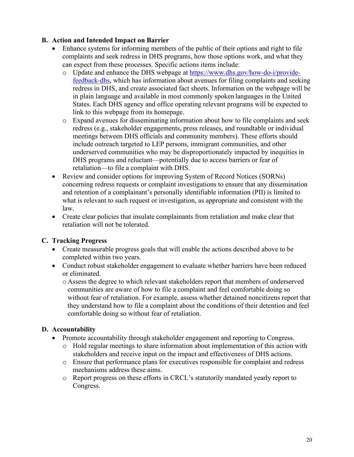#### **B. Action and Intended Impact on Barrier**

- can expect from these processes. Specific actions items include: • Enhance systems for informing members of the public of their options and right to file complaints and seek redress in DHS programs, how those options work, and what they
	- [feedback-dhs,](https://www.dhs.gov/how-do-i/provide-feedback-dhs) which has information about avenues for filing complaints and seeking redress in DHS, and create associated fact sheets. Information on the webpage will be o Update and enhance the DHS webpage at [https://www.dhs.gov/how-do-i/provide](https://www.dhs.gov/how-do-i/provide-feedback-dhs)in plain language and available in most commonly spoken languages in the United States. Each DHS agency and office operating relevant programs will be expected to link to this webpage from its homepage.
	- o Expand avenues for disseminating information about how to file complaints and seek redress (e.g., stakeholder engagements, press releases, and roundtable or individual meetings between DHS officials and community members). These efforts should include outreach targeted to LEP persons, immigrant communities, and other underserved communities who may be disproportionately impacted by inequities in DHS programs and reluctant—potentially due to access barriers or fear of retaliation—to file a complaint with DHS.
- concerning redress requests or complaint investigations to ensure that any dissemination what is relevant to such request or investigation, as appropriate and consistent with the law. • Review and consider options for improving System of Record Notices (SORNs) and retention of a complainant's personally identifiable information (PII) is limited to
- Create clear policies that insulate complainants from retaliation and make clear that retaliation will not be tolerated.

#### **C. Tracking Progress**

- Create measurable progress goals that will enable the actions described above to be completed within two years.
- Conduct robust stakeholder engagement to evaluate whether barriers have been reduced or eliminated.
	- communities are aware of how to file a complaint and feel comfortable doing so without fear of retaliation. For example, assess whether detained noncitizens report that comfortable doing so without fear of retaliation. o Assess the degree to which relevant stakeholders report that members of underserved they understand how to file a complaint about the conditions of their detention and feel

#### **D. Accountability**

- Promote accountability through stakeholder engagement and reporting to Congress.
	- o Hold regular meetings to share information about implementation of this action with stakeholders and receive input on the impact and effectiveness of DHS actions.
	- o Ensure that performance plans for executives responsible for complaint and redress mechanisms address these aims.
	- o Report progress on these efforts in CRCL's statutorily mandated yearly report to Congress.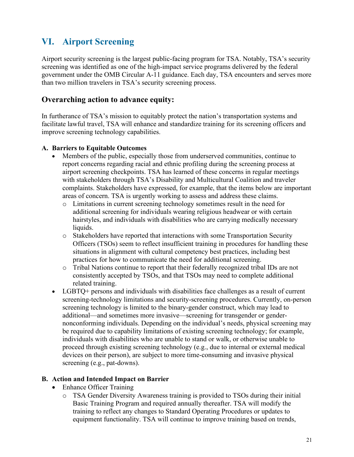### <span id="page-24-0"></span>**VI. Airport Screening**

Airport security screening is the largest public-facing program for TSA. Notably, TSA's security screening was identified as one of the high-impact service programs delivered by the federal government under the OMB Circular A-11 guidance. Each day, TSA encounters and serves more than two million travelers in TSA's security screening process.

#### **Overarching action to advance equity:**

In furtherance of TSA's mission to equitably protect the nation's transportation systems and facilitate lawful travel, TSA will enhance and standardize training for its screening officers and improve screening technology capabilities.

#### **A. Barriers to Equitable Outcomes**

- Members of the public, especially those from underserved communities, continue to report concerns regarding racial and ethnic profiling during the screening process at airport screening checkpoints. TSA has learned of these concerns in regular meetings with stakeholders through TSA's Disability and Multicultural Coalition and traveler complaints. Stakeholders have expressed, for example, that the items below are important areas of concern. TSA is urgently working to assess and address these claims.
	- o Limitations in current screening technology sometimes result in the need for additional screening for individuals wearing religious headwear or with certain hairstyles, and individuals with disabilities who are carrying medically necessary liquids.
	- o Stakeholders have reported that interactions with some Transportation Security Officers (TSOs) seem to reflect insufficient training in procedures for handling these situations in alignment with cultural competency best practices, including best practices for how to communicate the need for additional screening.
	- o Tribal Nations continue to report that their federally recognized tribal IDs are not consistently accepted by TSOs, and that TSOs may need to complete additional related training.
- devices on their person), are subject to more time-consuming and invasive physical • LGBTQ+ persons and individuals with disabilities face challenges as a result of current screening-technology limitations and security-screening procedures. Currently, on-person screening technology is limited to the binary-gender construct, which may lead to additional—and sometimes more invasive—screening for transgender or gendernonconforming individuals. Depending on the individual's needs, physical screening may be required due to capability limitations of existing screening technology; for example, individuals with disabilities who are unable to stand or walk, or otherwise unable to proceed through existing screening technology (e.g., due to internal or external medical screening (e.g., pat-downs).

#### **B. Action and Intended Impact on Barrier**

- Enhance Officer Training
	- o TSA Gender Diversity Awareness training is provided to TSOs during their initial Basic Training Program and required annually thereafter. TSA will modify the training to reflect any changes to Standard Operating Procedures or updates to equipment functionality. TSA will continue to improve training based on trends,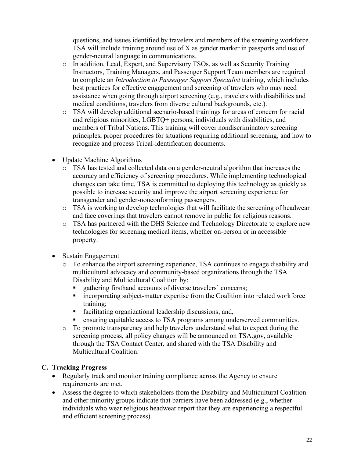TSA will include training around use of X as gender marker in passports and use of questions, and issues identified by travelers and members of the screening workforce. gender-neutral language in communications.

- assistance when going through airport screening (e.g., travelers with disabilities and o In addition, Lead, Expert, and Supervisory TSOs, as well as Security Training Instructors, Training Managers, and Passenger Support Team members are required to complete an *Introduction to Passenger Support Specialist* training, which includes best practices for effective engagement and screening of travelers who may need medical conditions, travelers from diverse cultural backgrounds, etc.).
- o TSA will develop additional scenario-based trainings for areas of concern for racial and religious minorities, LGBTQ+ persons, individuals with disabilities, and members of Tribal Nations. This training will cover nondiscriminatory screening principles, proper procedures for situations requiring additional screening, and how to recognize and process Tribal-identification documents.
- Update Machine Algorithms
	- o TSA has tested and collected data on a gender-neutral algorithm that increases the changes can take time, TSA is committed to deploying this technology as quickly as possible to increase security and improve the airport screening experience for accuracy and efficiency of screening procedures. While implementing technological transgender and gender-nonconforming passengers.
	- o TSA is working to develop technologies that will facilitate the screening of headwear and face coverings that travelers cannot remove in public for religious reasons.
	- o TSA has partnered with the DHS Science and Technology Directorate to explore new technologies for screening medical items, whether on-person or in accessible property.
- • Sustain Engagement
	- o To enhance the airport screening experience, TSA continues to engage disability and multicultural advocacy and community-based organizations through the TSA Disability and Multicultural Coalition by:
		- gathering firsthand accounts of diverse travelers' concerns;
		- incorporating subject-matter expertise from the Coalition into related workforce training;
		- facilitating organizational leadership discussions; and,
		- ensuring equitable access to TSA programs among underserved communities.
	- o To promote transparency and help travelers understand what to expect during the screening process, all policy changes will be announced on TSA.gov, available through the TSA Contact Center, and shared with the TSA Disability and Multicultural Coalition.

#### **C. Tracking Progress**

- Regularly track and monitor training compliance across the Agency to ensure requirements are met.
- • Assess the degree to which stakeholders from the Disability and Multicultural Coalition and other minority groups indicate that barriers have been addressed (e.g., whether individuals who wear religious headwear report that they are experiencing a respectful and efficient screening process).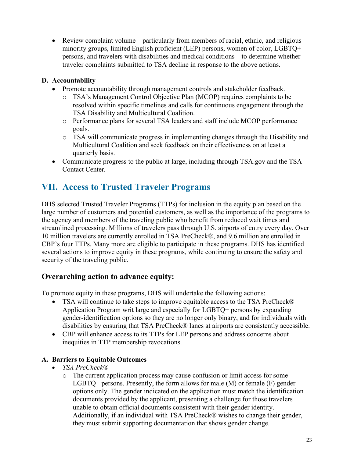minority groups, limited English proficient (LEP) persons, women of color, LGBTQ+ • Review complaint volume—particularly from members of racial, ethnic, and religious persons, and travelers with disabilities and medical conditions—to determine whether traveler complaints submitted to TSA decline in response to the above actions.

#### **D. Accountability**

- Promote accountability through management controls and stakeholder feedback.
	- o TSA's Management Control Objective Plan (MCOP) requires complaints to be resolved within specific timelines and calls for continuous engagement through the TSA Disability and Multicultural Coalition.
	- o Performance plans for several TSA leaders and staff include MCOP performance goals.
	- Multicultural Coalition and seek feedback on their effectiveness on at least a o TSA will communicate progress in implementing changes through the Disability and quarterly basis.
- Communicate progress to the public at large, including through TSA.gov and the TSA Contact Center.

### <span id="page-26-0"></span>**VII. Access to Trusted Traveler Programs**

 large number of customers and potential customers, as well as the importance of the programs to DHS selected Trusted Traveler Programs (TTPs) for inclusion in the equity plan based on the the agency and members of the traveling public who benefit from reduced wait times and streamlined processing. Millions of travelers pass through U.S. airports of entry every day. Over 10 million travelers are currently enrolled in TSA PreCheck®, and 9.6 million are enrolled in CBP's four TTPs. Many more are eligible to participate in these programs. DHS has identified several actions to improve equity in these programs, while continuing to ensure the safety and security of the traveling public.

#### **Overarching action to advance equity:**

To promote equity in these programs, DHS will undertake the following actions:

- disabilities by ensuring that TSA PreCheck® lanes at airports are consistently accessible. • TSA will continue to take steps to improve equitable access to the TSA PreCheck® Application Program writ large and especially for LGBTQ+ persons by expanding gender-identification options so they are no longer only binary, and for individuals with
- • CBP will enhance access to its TTPs for LEP persons and address concerns about inequities in TTP membership revocations.

#### **A. Barriers to Equitable Outcomes**

- *TSA PreCheck®*
	- documents provided by the applicant, presenting a challenge for those travelers they must submit supporting documentation that shows gender change. o The current application process may cause confusion or limit access for some LGBTQ+ persons. Presently, the form allows for male (M) or female (F) gender options only. The gender indicated on the application must match the identification unable to obtain official documents consistent with their gender identity. Additionally, if an individual with TSA PreCheck® wishes to change their gender,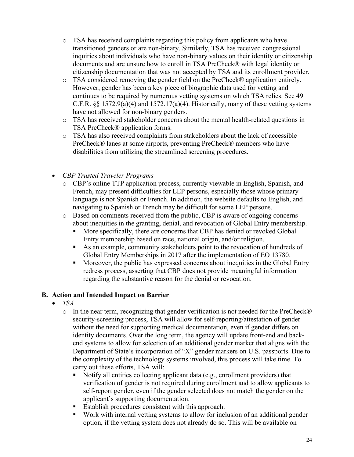- o TSA has received complaints regarding this policy from applicants who have transitioned genders or are non-binary. Similarly, TSA has received congressional inquiries about individuals who have non-binary values on their identity or citizenship documents and are unsure how to enroll in TSA PreCheck® with legal identity or citizenship documentation that was not accepted by TSA and its enrollment provider.
- However, gender has been a key piece of biographic data used for vetting and o TSA considered removing the gender field on the PreCheck® application entirely. continues to be required by numerous vetting systems on which TSA relies. See 49 C.F.R.  $\S$  1572.9(a)(4) and 1572.17(a)(4). Historically, many of these vetting systems have not allowed for non-binary genders.
- o TSA has received stakeholder concerns about the mental health-related questions in TSA PreCheck® application forms.
- PreCheck® lanes at some airports, preventing PreCheck® members who have disabilities from utilizing the streamlined screening procedures. o TSA has also received complaints from stakeholders about the lack of accessible
- *CBP Trusted Traveler Programs*
	- navigating to Spanish or French may be difficult for some LEP persons. o CBP's online TTP application process, currently viewable in English, Spanish, and French, may present difficulties for LEP persons, especially those whose primary language is not Spanish or French. In addition, the website defaults to English, and
	- o Based on comments received from the public, CBP is aware of ongoing concerns about inequities in the granting, denial, and revocation of Global Entry membership.
		- **More specifically, there are concerns that CBP has denied or revoked Global** Entry membership based on race, national origin, and/or religion.
		- As an example, community stakeholders point to the revocation of hundreds of Global Entry Memberships in 2017 after the implementation of EO 13780.
		- regarding the substantive reason for the denial or revocation. Moreover, the public has expressed concerns about inequities in the Global Entry redress process, asserting that CBP does not provide meaningful information

#### **B. Action and Intended Impact on Barrier**

- *TSA*
	- o In the near term, recognizing that gender verification is not needed for the PreCheck® security-screening process, TSA will allow for self-reporting/attestation of gender without the need for supporting medical documentation, even if gender differs on identity documents. Over the long term, the agency will update front-end and backend systems to allow for selection of an additional gender marker that aligns with the Department of State's incorporation of "X" gender markers on U.S. passports. Due to the complexity of the technology systems involved, this process will take time. To carry out these efforts, TSA will:
		- Notify all entities collecting applicant data (e.g., enrollment providers) that verification of gender is not required during enrollment and to allow applicants to self-report gender, even if the gender selected does not match the gender on the applicant's supporting documentation.
		- Establish procedures consistent with this approach.
		- Work with internal vetting systems to allow for inclusion of an additional gender option, if the vetting system does not already do so. This will be available on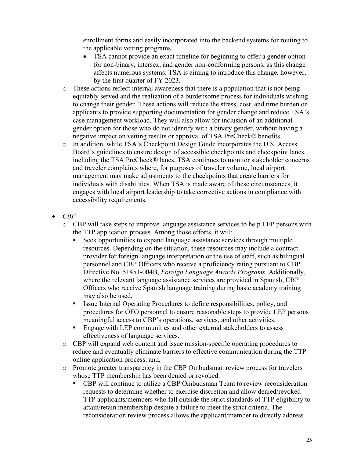enrollment forms and easily incorporated into the backend systems for routing to the applicable vetting programs.

- TSA cannot provide an exact timeline for beginning to offer a gender option for non-binary, intersex, and gender non-conforming persons, as this change affects numerous systems. TSA is aiming to introduce this change, however, by the first quarter of FY 2023.
- gender option for those who do not identify with a binary gender, without having a  $\circ$  These actions reflect internal awareness that there is a population that is not being equitably served and the realization of a burdensome process for individuals wishing to change their gender. These actions will reduce the stress, cost, and time burden on applicants to provide supporting documentation for gender change and reduce TSA's case management workload. They will also allow for inclusion of an additional negative impact on vetting results or approval of TSA PreCheck® benefits.
- including the TSA PreCheck® lanes, TSA continues to monitor stakeholder concerns o In addition, while TSA's Checkpoint Design Guide incorporates the U.S. Access Board's guidelines to ensure design of accessible checkpoints and checkpoint lanes, and traveler complaints where, for purposes of traveler volume, local airport management may make adjustments to the checkpoints that create barriers for individuals with disabilities. When TSA is made aware of these circumstances, it engages with local airport leadership to take corrective actions in compliance with accessibility requirements.
- *CBP* 
	- o CBP will take steps to improve language assistance services to help LEP persons with the TTP application process. Among those efforts, it will:
		- resources. Depending on the situation, these resources may include a contract Seek opportunities to expand language assistance services through multiple provider for foreign language interpretation or the use of staff, such as bilingual personnel and CBP Officers who receive a proficiency rating pursuant to CBP Directive No. 51451-004B, *Foreign Language Awards Programs.* Additionally*,*  where the relevant language assistance services are provided in Spanish, CBP Officers who receive Spanish language training during basic academy training may also be used.
		- Issue Internal Operating Procedures to define responsibilities, policy, and procedures for OFO personnel to ensure reasonable steps to provide LEP persons meaningful access to CBP's operations, services, and other activities.
		- Engage with LEP communities and other external stakeholders to assess effectiveness of language services.
	- o CBP will expand web content and issue mission-specific operating procedures to reduce and eventually eliminate barriers to effective communication during the TTP online application process; and,
	- o Promote greater transparency in the CBP Ombudsman review process for travelers whose TTP membership has been denied or revoked.
		- attain/retain membership despite a failure to meet the strict criteria. The CBP will continue to utilize a CBP Ombudsman Team to review reconsideration requests to determine whether to exercise discretion and allow denied/revoked TTP applicants/members who fall outside the strict standards of TTP eligibility to reconsideration review process allows the applicant/member to directly address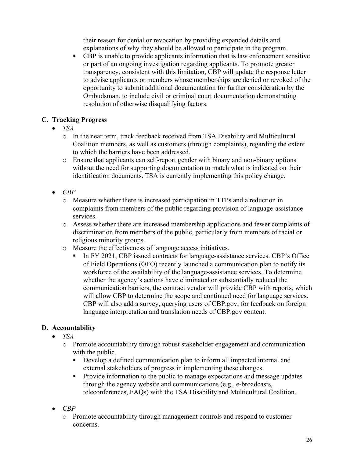their reason for denial or revocation by providing expanded details and explanations of why they should be allowed to participate in the program.

 CBP is unable to provide applicants information that is law enforcement sensitive transparency, consistent with this limitation, CBP will update the response letter or part of an ongoing investigation regarding applicants. To promote greater to advise applicants or members whose memberships are denied or revoked of the opportunity to submit additional documentation for further consideration by the Ombudsman, to include civil or criminal court documentation demonstrating resolution of otherwise disqualifying factors.

#### **C. Tracking Progress**

- *TSA* 
	- to which the barriers have been addressed. o In the near term, track feedback received from TSA Disability and Multicultural Coalition members, as well as customers (through complaints), regarding the extent
	- o Ensure that applicants can self-report gender with binary and non-binary options without the need for supporting documentation to match what is indicated on their identification documents. TSA is currently implementing this policy change.
- *CBP* 
	- o Measure whether there is increased participation in TTPs and a reduction in complaints from members of the public regarding provision of language-assistance services.
	- o Assess whether there are increased membership applications and fewer complaints of discrimination from members of the public, particularly from members of racial or religious minority groups.
	- o Measure the effectiveness of language access initiatives.
		- In FY 2021, CBP issued contracts for language-assistance services. CBP's Office of Field Operations (OFO) recently launched a communication plan to notify its workforce of the availability of the language-assistance services. To determine whether the agency's actions have eliminated or substantially reduced the communication barriers, the contract vendor will provide CBP with reports, which will allow CBP to determine the scope and continued need for language services. CBP will also add a survey, querying users of CBP.gov, for feedback on foreign language interpretation and translation needs of CBP.gov content.

#### **D. Accountability**

- *TSA* 
	- o Promote accountability through robust stakeholder engagement and communication with the public.
		- Develop a defined communication plan to inform all impacted internal and external stakeholders of progress in implementing these changes.
		- **Provide information to the public to manage expectations and message updates** through the agency website and communications (e.g., e-broadcasts, teleconferences, FAQs) with the TSA Disability and Multicultural Coalition.
- *CBP* 
	- o Promote accountability through management controls and respond to customer concerns.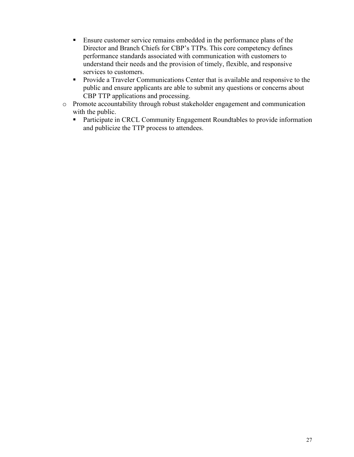- **Ensure customer service remains embedded in the performance plans of the** Director and Branch Chiefs for CBP's TTPs. This core competency defines performance standards associated with communication with customers to understand their needs and the provision of timely, flexible, and responsive services to customers.
- public and ensure applicants are able to submit any questions or concerns about **Provide a Traveler Communications Center that is available and responsive to the** CBP TTP applications and processing.
- o Promote accountability through robust stakeholder engagement and communication with the public.
	- **Participate in CRCL Community Engagement Roundtables to provide information** and publicize the TTP process to attendees.